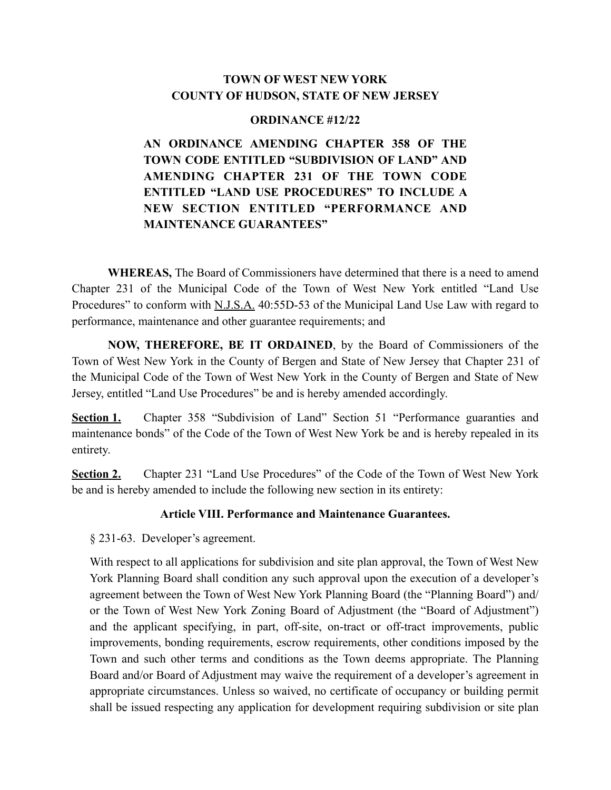# **TOWN OF WEST NEW YORK COUNTY OF HUDSON, STATE OF NEW JERSEY**

#### **ORDINANCE #12/22**

**AN ORDINANCE AMENDING CHAPTER 358 OF THE TOWN CODE ENTITLED "SUBDIVISION OF LAND" AND AMENDING CHAPTER 231 OF THE TOWN CODE ENTITLED "LAND USE PROCEDURES" TO INCLUDE A NEW SECTION ENTITLED "PERFORMANCE AND MAINTENANCE GUARANTEES"** 

**WHEREAS,** The Board of Commissioners have determined that there is a need to amend Chapter 231 of the Municipal Code of the Town of West New York entitled "Land Use Procedures" to conform with N.J.S.A. 40:55D-53 of the Municipal Land Use Law with regard to performance, maintenance and other guarantee requirements; and

**NOW, THEREFORE, BE IT ORDAINED**, by the Board of Commissioners of the Town of West New York in the County of Bergen and State of New Jersey that Chapter 231 of the Municipal Code of the Town of West New York in the County of Bergen and State of New Jersey, entitled "Land Use Procedures" be and is hereby amended accordingly.

**Section 1.** Chapter 358 "Subdivision of Land" Section 51 "Performance guaranties and maintenance bonds" of the Code of the Town of West New York be and is hereby repealed in its entirety.

**Section 2.** Chapter 231 "Land Use Procedures" of the Code of the Town of West New York be and is hereby amended to include the following new section in its entirety:

## **Article VIII. Performance and Maintenance Guarantees.**

§ 231-63. Developer's agreement.

With respect to all applications for subdivision and site plan approval, the Town of West New York Planning Board shall condition any such approval upon the execution of a developer's agreement between the Town of West New York Planning Board (the "Planning Board") and/ or the Town of West New York Zoning Board of Adjustment (the "Board of Adjustment") and the applicant specifying, in part, off-site, on-tract or off-tract improvements, public improvements, bonding requirements, escrow requirements, other conditions imposed by the Town and such other terms and conditions as the Town deems appropriate. The Planning Board and/or Board of Adjustment may waive the requirement of a developer's agreement in appropriate circumstances. Unless so waived, no certificate of occupancy or building permit shall be issued respecting any application for development requiring subdivision or site plan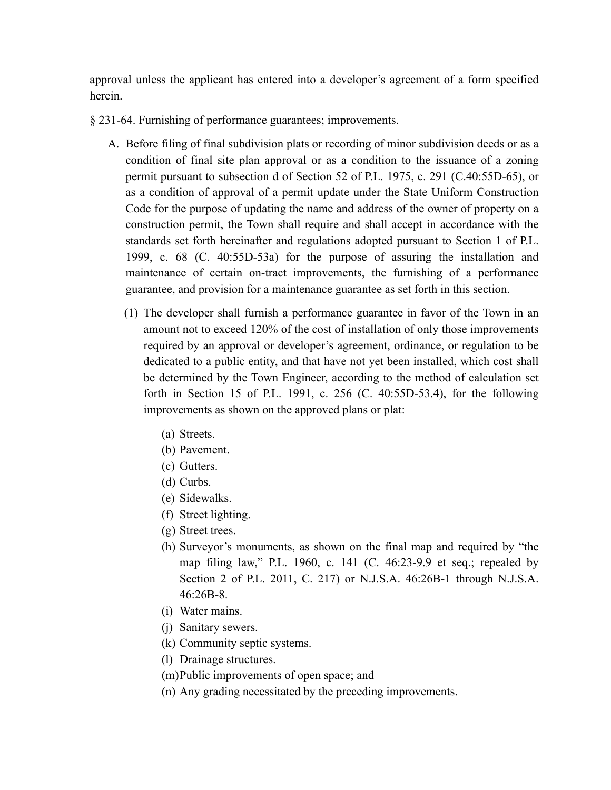approval unless the applicant has entered into a developer's agreement of a form specified herein.

- § 231-64. Furnishing of performance guarantees; improvements.
	- A. Before filing of final subdivision plats or recording of minor subdivision deeds or as a condition of final site plan approval or as a condition to the issuance of a zoning permit pursuant to subsection d of Section 52 of P.L. 1975, c. 291 (C.40:55D-65), or as a condition of approval of a permit update under the State Uniform Construction Code for the purpose of updating the name and address of the owner of property on a construction permit, the Town shall require and shall accept in accordance with the standards set forth hereinafter and regulations adopted pursuant to Section 1 of P.L. 1999, c. 68 (C. 40:55D-53a) for the purpose of assuring the installation and maintenance of certain on-tract improvements, the furnishing of a performance guarantee, and provision for a maintenance guarantee as set forth in this section.
		- (1) The developer shall furnish a performance guarantee in favor of the Town in an amount not to exceed 120% of the cost of installation of only those improvements required by an approval or developer's agreement, ordinance, or regulation to be dedicated to a public entity, and that have not yet been installed, which cost shall be determined by the Town Engineer, according to the method of calculation set forth in Section 15 of P.L. 1991, c. 256 (C. 40:55D-53.4), for the following improvements as shown on the approved plans or plat:
			- (a) Streets.
			- (b) Pavement.
			- (c) Gutters.
			- (d) Curbs.
			- (e) Sidewalks.
			- (f) Street lighting.
			- (g) Street trees.
			- (h) Surveyor's monuments, as shown on the final map and required by "the map filing law," P.L. 1960, c. 141 (C. 46:23-9.9 et seq.; repealed by Section 2 of P.L. 2011, C. 217) or N.J.S.A. 46:26B-1 through N.J.S.A. 46:26B-8.
			- (i) Water mains.
			- (j) Sanitary sewers.
			- (k) Community septic systems.
			- (l) Drainage structures.
			- (m)Public improvements of open space; and
			- (n) Any grading necessitated by the preceding improvements.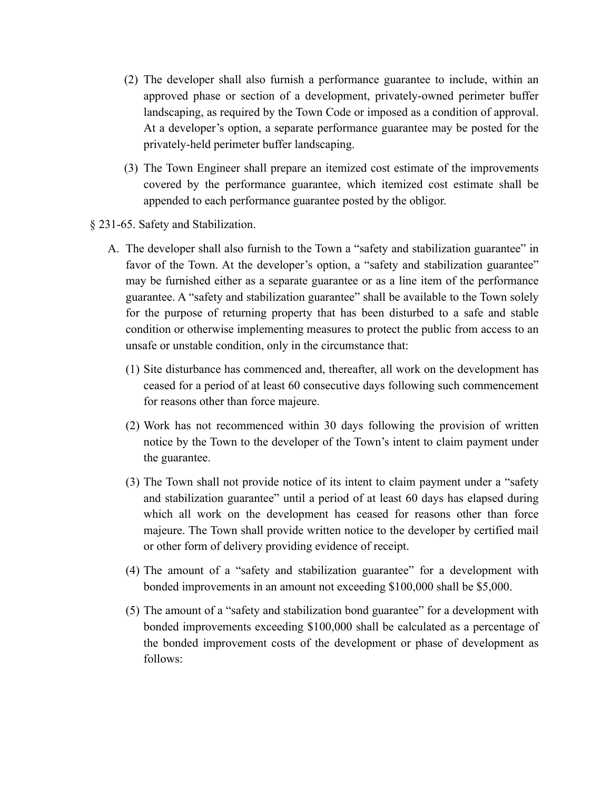- (2) The developer shall also furnish a performance guarantee to include, within an approved phase or section of a development, privately-owned perimeter buffer landscaping, as required by the Town Code or imposed as a condition of approval. At a developer's option, a separate performance guarantee may be posted for the privately-held perimeter buffer landscaping.
- (3) The Town Engineer shall prepare an itemized cost estimate of the improvements covered by the performance guarantee, which itemized cost estimate shall be appended to each performance guarantee posted by the obligor.
- § 231-65. Safety and Stabilization.
	- A. The developer shall also furnish to the Town a "safety and stabilization guarantee" in favor of the Town. At the developer's option, a "safety and stabilization guarantee" may be furnished either as a separate guarantee or as a line item of the performance guarantee. A "safety and stabilization guarantee" shall be available to the Town solely for the purpose of returning property that has been disturbed to a safe and stable condition or otherwise implementing measures to protect the public from access to an unsafe or unstable condition, only in the circumstance that:
		- (1) Site disturbance has commenced and, thereafter, all work on the development has ceased for a period of at least 60 consecutive days following such commencement for reasons other than force majeure.
		- (2) Work has not recommenced within 30 days following the provision of written notice by the Town to the developer of the Town's intent to claim payment under the guarantee.
		- (3) The Town shall not provide notice of its intent to claim payment under a "safety and stabilization guarantee" until a period of at least 60 days has elapsed during which all work on the development has ceased for reasons other than force majeure. The Town shall provide written notice to the developer by certified mail or other form of delivery providing evidence of receipt.
		- (4) The amount of a "safety and stabilization guarantee" for a development with bonded improvements in an amount not exceeding \$100,000 shall be \$5,000.
		- (5) The amount of a "safety and stabilization bond guarantee" for a development with bonded improvements exceeding \$100,000 shall be calculated as a percentage of the bonded improvement costs of the development or phase of development as follows: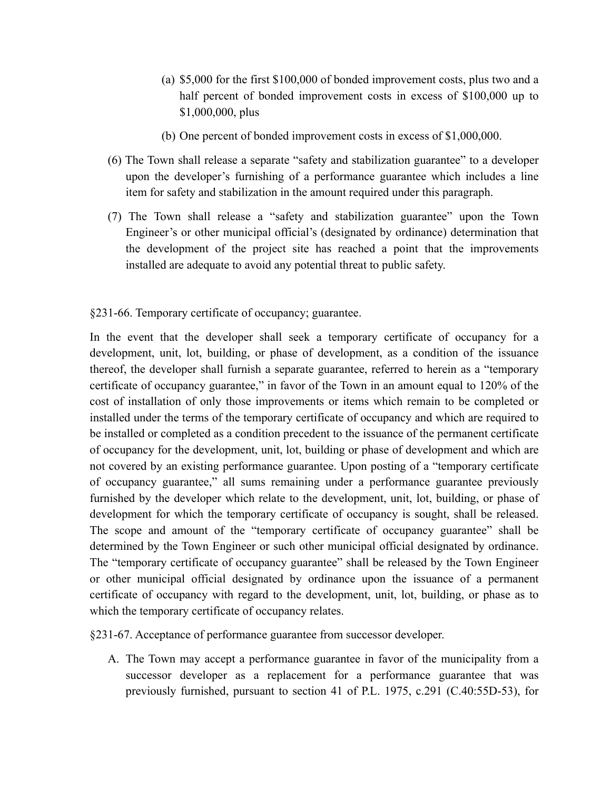- (a) \$5,000 for the first \$100,000 of bonded improvement costs, plus two and a half percent of bonded improvement costs in excess of \$100,000 up to \$1,000,000, plus
- (b) One percent of bonded improvement costs in excess of \$1,000,000.
- (6) The Town shall release a separate "safety and stabilization guarantee" to a developer upon the developer's furnishing of a performance guarantee which includes a line item for safety and stabilization in the amount required under this paragraph.
- (7) The Town shall release a "safety and stabilization guarantee" upon the Town Engineer's or other municipal official's (designated by ordinance) determination that the development of the project site has reached a point that the improvements installed are adequate to avoid any potential threat to public safety.

### §231-66. Temporary certificate of occupancy; guarantee.

In the event that the developer shall seek a temporary certificate of occupancy for a development, unit, lot, building, or phase of development, as a condition of the issuance thereof, the developer shall furnish a separate guarantee, referred to herein as a "temporary certificate of occupancy guarantee," in favor of the Town in an amount equal to 120% of the cost of installation of only those improvements or items which remain to be completed or installed under the terms of the temporary certificate of occupancy and which are required to be installed or completed as a condition precedent to the issuance of the permanent certificate of occupancy for the development, unit, lot, building or phase of development and which are not covered by an existing performance guarantee. Upon posting of a "temporary certificate of occupancy guarantee," all sums remaining under a performance guarantee previously furnished by the developer which relate to the development, unit, lot, building, or phase of development for which the temporary certificate of occupancy is sought, shall be released. The scope and amount of the "temporary certificate of occupancy guarantee" shall be determined by the Town Engineer or such other municipal official designated by ordinance. The "temporary certificate of occupancy guarantee" shall be released by the Town Engineer or other municipal official designated by ordinance upon the issuance of a permanent certificate of occupancy with regard to the development, unit, lot, building, or phase as to which the temporary certificate of occupancy relates.

§231-67. Acceptance of performance guarantee from successor developer.

A. The Town may accept a performance guarantee in favor of the municipality from a successor developer as a replacement for a performance guarantee that was previously furnished, pursuant to section 41 of P.L. 1975, c.291 (C.40:55D-53), for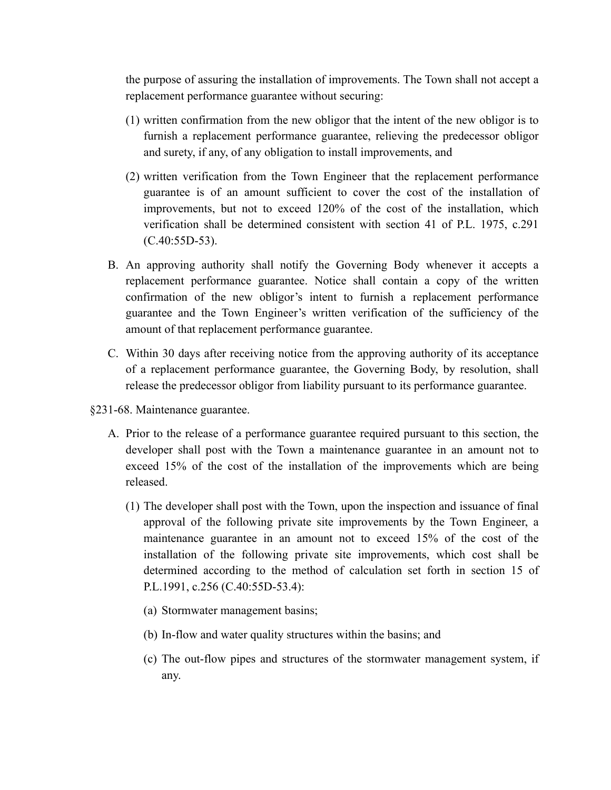the purpose of assuring the installation of improvements. The Town shall not accept a replacement performance guarantee without securing:

- (1) written confirmation from the new obligor that the intent of the new obligor is to furnish a replacement performance guarantee, relieving the predecessor obligor and surety, if any, of any obligation to install improvements, and
- (2) written verification from the Town Engineer that the replacement performance guarantee is of an amount sufficient to cover the cost of the installation of improvements, but not to exceed 120% of the cost of the installation, which verification shall be determined consistent with section 41 of P.L. 1975, c.291 (C.40:55D-53).
- B. An approving authority shall notify the Governing Body whenever it accepts a replacement performance guarantee. Notice shall contain a copy of the written confirmation of the new obligor's intent to furnish a replacement performance guarantee and the Town Engineer's written verification of the sufficiency of the amount of that replacement performance guarantee.
- C. Within 30 days after receiving notice from the approving authority of its acceptance of a replacement performance guarantee, the Governing Body, by resolution, shall release the predecessor obligor from liability pursuant to its performance guarantee.
- §231-68. Maintenance guarantee.
	- A. Prior to the release of a performance guarantee required pursuant to this section, the developer shall post with the Town a maintenance guarantee in an amount not to exceed 15% of the cost of the installation of the improvements which are being released.
		- (1) The developer shall post with the Town, upon the inspection and issuance of final approval of the following private site improvements by the Town Engineer, a maintenance guarantee in an amount not to exceed 15% of the cost of the installation of the following private site improvements, which cost shall be determined according to the method of calculation set forth in section 15 of P.L.1991, c.256 (C.40:55D-53.4):
			- (a) Stormwater management basins;
			- (b) In-flow and water quality structures within the basins; and
			- (c) The out-flow pipes and structures of the stormwater management system, if any.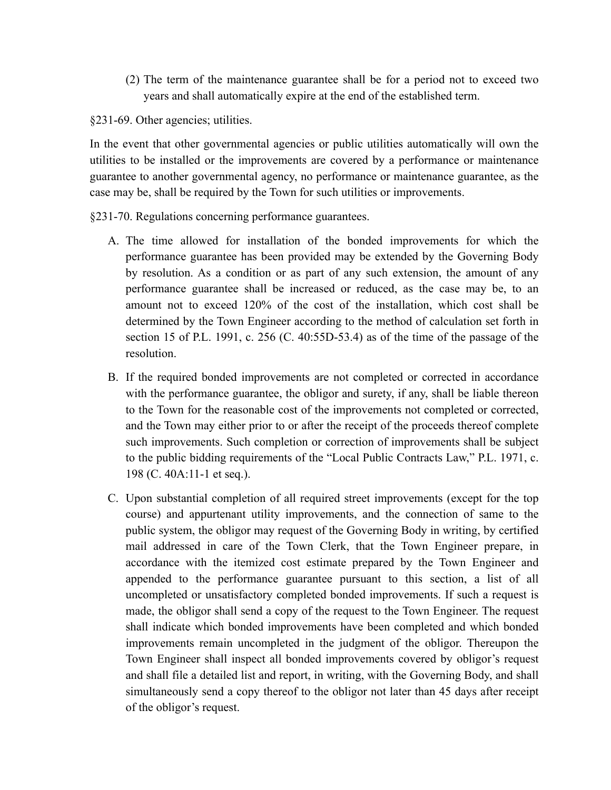(2) The term of the maintenance guarantee shall be for a period not to exceed two years and shall automatically expire at the end of the established term.

§231-69. Other agencies; utilities.

In the event that other governmental agencies or public utilities automatically will own the utilities to be installed or the improvements are covered by a performance or maintenance guarantee to another governmental agency, no performance or maintenance guarantee, as the case may be, shall be required by the Town for such utilities or improvements.

§231-70. Regulations concerning performance guarantees.

- A. The time allowed for installation of the bonded improvements for which the performance guarantee has been provided may be extended by the Governing Body by resolution. As a condition or as part of any such extension, the amount of any performance guarantee shall be increased or reduced, as the case may be, to an amount not to exceed 120% of the cost of the installation, which cost shall be determined by the Town Engineer according to the method of calculation set forth in section 15 of P.L. 1991, c. 256 (C. 40:55D-53.4) as of the time of the passage of the resolution.
- B. If the required bonded improvements are not completed or corrected in accordance with the performance guarantee, the obligor and surety, if any, shall be liable thereon to the Town for the reasonable cost of the improvements not completed or corrected, and the Town may either prior to or after the receipt of the proceeds thereof complete such improvements. Such completion or correction of improvements shall be subject to the public bidding requirements of the "Local Public Contracts Law," P.L. 1971, c. 198 (C. 40A:11-1 et seq.).
- C. Upon substantial completion of all required street improvements (except for the top course) and appurtenant utility improvements, and the connection of same to the public system, the obligor may request of the Governing Body in writing, by certified mail addressed in care of the Town Clerk, that the Town Engineer prepare, in accordance with the itemized cost estimate prepared by the Town Engineer and appended to the performance guarantee pursuant to this section, a list of all uncompleted or unsatisfactory completed bonded improvements. If such a request is made, the obligor shall send a copy of the request to the Town Engineer. The request shall indicate which bonded improvements have been completed and which bonded improvements remain uncompleted in the judgment of the obligor. Thereupon the Town Engineer shall inspect all bonded improvements covered by obligor's request and shall file a detailed list and report, in writing, with the Governing Body, and shall simultaneously send a copy thereof to the obligor not later than 45 days after receipt of the obligor's request.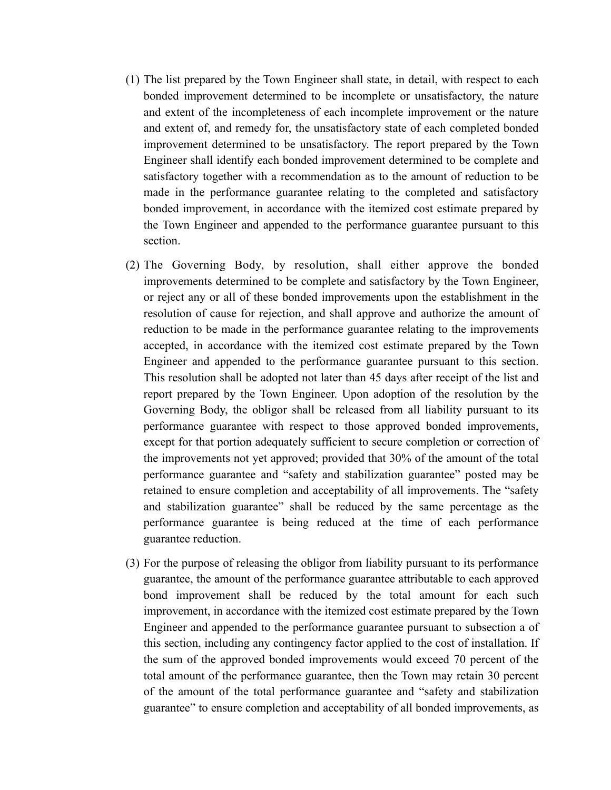- (1) The list prepared by the Town Engineer shall state, in detail, with respect to each bonded improvement determined to be incomplete or unsatisfactory, the nature and extent of the incompleteness of each incomplete improvement or the nature and extent of, and remedy for, the unsatisfactory state of each completed bonded improvement determined to be unsatisfactory. The report prepared by the Town Engineer shall identify each bonded improvement determined to be complete and satisfactory together with a recommendation as to the amount of reduction to be made in the performance guarantee relating to the completed and satisfactory bonded improvement, in accordance with the itemized cost estimate prepared by the Town Engineer and appended to the performance guarantee pursuant to this section.
- (2) The Governing Body, by resolution, shall either approve the bonded improvements determined to be complete and satisfactory by the Town Engineer, or reject any or all of these bonded improvements upon the establishment in the resolution of cause for rejection, and shall approve and authorize the amount of reduction to be made in the performance guarantee relating to the improvements accepted, in accordance with the itemized cost estimate prepared by the Town Engineer and appended to the performance guarantee pursuant to this section. This resolution shall be adopted not later than 45 days after receipt of the list and report prepared by the Town Engineer. Upon adoption of the resolution by the Governing Body, the obligor shall be released from all liability pursuant to its performance guarantee with respect to those approved bonded improvements, except for that portion adequately sufficient to secure completion or correction of the improvements not yet approved; provided that 30% of the amount of the total performance guarantee and "safety and stabilization guarantee" posted may be retained to ensure completion and acceptability of all improvements. The "safety and stabilization guarantee" shall be reduced by the same percentage as the performance guarantee is being reduced at the time of each performance guarantee reduction.
- (3) For the purpose of releasing the obligor from liability pursuant to its performance guarantee, the amount of the performance guarantee attributable to each approved bond improvement shall be reduced by the total amount for each such improvement, in accordance with the itemized cost estimate prepared by the Town Engineer and appended to the performance guarantee pursuant to subsection a of this section, including any contingency factor applied to the cost of installation. If the sum of the approved bonded improvements would exceed 70 percent of the total amount of the performance guarantee, then the Town may retain 30 percent of the amount of the total performance guarantee and "safety and stabilization guarantee" to ensure completion and acceptability of all bonded improvements, as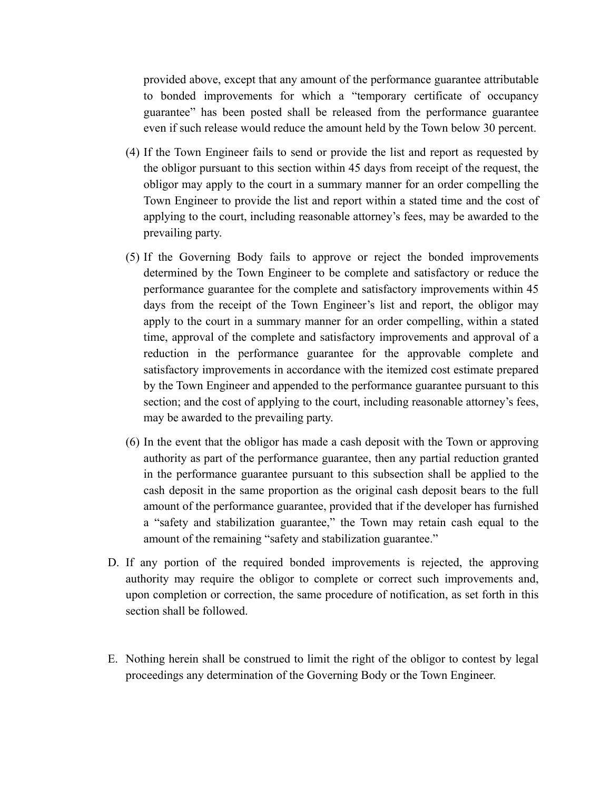provided above, except that any amount of the performance guarantee attributable to bonded improvements for which a "temporary certificate of occupancy guarantee" has been posted shall be released from the performance guarantee even if such release would reduce the amount held by the Town below 30 percent.

- (4) If the Town Engineer fails to send or provide the list and report as requested by the obligor pursuant to this section within 45 days from receipt of the request, the obligor may apply to the court in a summary manner for an order compelling the Town Engineer to provide the list and report within a stated time and the cost of applying to the court, including reasonable attorney's fees, may be awarded to the prevailing party.
- (5) If the Governing Body fails to approve or reject the bonded improvements determined by the Town Engineer to be complete and satisfactory or reduce the performance guarantee for the complete and satisfactory improvements within 45 days from the receipt of the Town Engineer's list and report, the obligor may apply to the court in a summary manner for an order compelling, within a stated time, approval of the complete and satisfactory improvements and approval of a reduction in the performance guarantee for the approvable complete and satisfactory improvements in accordance with the itemized cost estimate prepared by the Town Engineer and appended to the performance guarantee pursuant to this section; and the cost of applying to the court, including reasonable attorney's fees, may be awarded to the prevailing party.
- (6) In the event that the obligor has made a cash deposit with the Town or approving authority as part of the performance guarantee, then any partial reduction granted in the performance guarantee pursuant to this subsection shall be applied to the cash deposit in the same proportion as the original cash deposit bears to the full amount of the performance guarantee, provided that if the developer has furnished a "safety and stabilization guarantee," the Town may retain cash equal to the amount of the remaining "safety and stabilization guarantee."
- D. If any portion of the required bonded improvements is rejected, the approving authority may require the obligor to complete or correct such improvements and, upon completion or correction, the same procedure of notification, as set forth in this section shall be followed.
- E. Nothing herein shall be construed to limit the right of the obligor to contest by legal proceedings any determination of the Governing Body or the Town Engineer.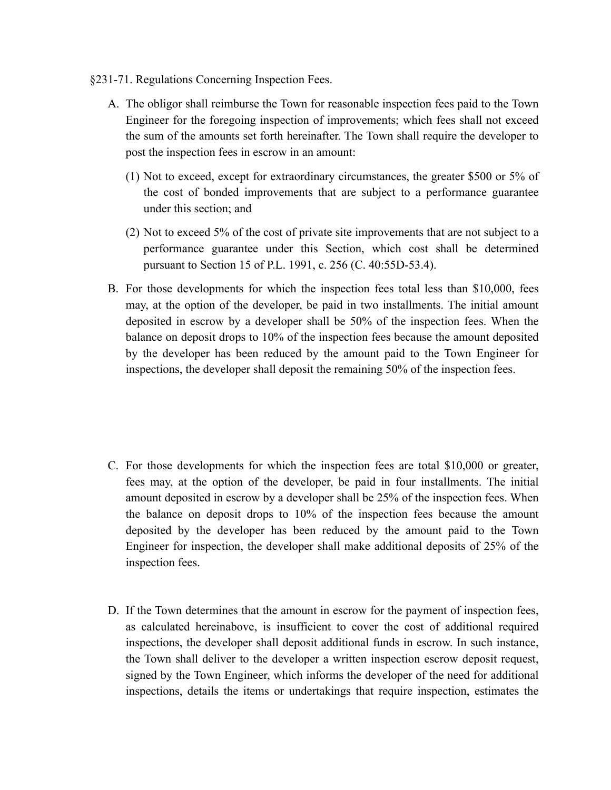- §231-71. Regulations Concerning Inspection Fees.
	- A. The obligor shall reimburse the Town for reasonable inspection fees paid to the Town Engineer for the foregoing inspection of improvements; which fees shall not exceed the sum of the amounts set forth hereinafter. The Town shall require the developer to post the inspection fees in escrow in an amount:
		- (1) Not to exceed, except for extraordinary circumstances, the greater \$500 or 5% of the cost of bonded improvements that are subject to a performance guarantee under this section; and
		- (2) Not to exceed 5% of the cost of private site improvements that are not subject to a performance guarantee under this Section, which cost shall be determined pursuant to Section 15 of P.L. 1991, c. 256 (C. 40:55D-53.4).
	- B. For those developments for which the inspection fees total less than \$10,000, fees may, at the option of the developer, be paid in two installments. The initial amount deposited in escrow by a developer shall be 50% of the inspection fees. When the balance on deposit drops to 10% of the inspection fees because the amount deposited by the developer has been reduced by the amount paid to the Town Engineer for inspections, the developer shall deposit the remaining 50% of the inspection fees.

- C. For those developments for which the inspection fees are total \$10,000 or greater, fees may, at the option of the developer, be paid in four installments. The initial amount deposited in escrow by a developer shall be 25% of the inspection fees. When the balance on deposit drops to 10% of the inspection fees because the amount deposited by the developer has been reduced by the amount paid to the Town Engineer for inspection, the developer shall make additional deposits of 25% of the inspection fees.
- D. If the Town determines that the amount in escrow for the payment of inspection fees, as calculated hereinabove, is insufficient to cover the cost of additional required inspections, the developer shall deposit additional funds in escrow. In such instance, the Town shall deliver to the developer a written inspection escrow deposit request, signed by the Town Engineer, which informs the developer of the need for additional inspections, details the items or undertakings that require inspection, estimates the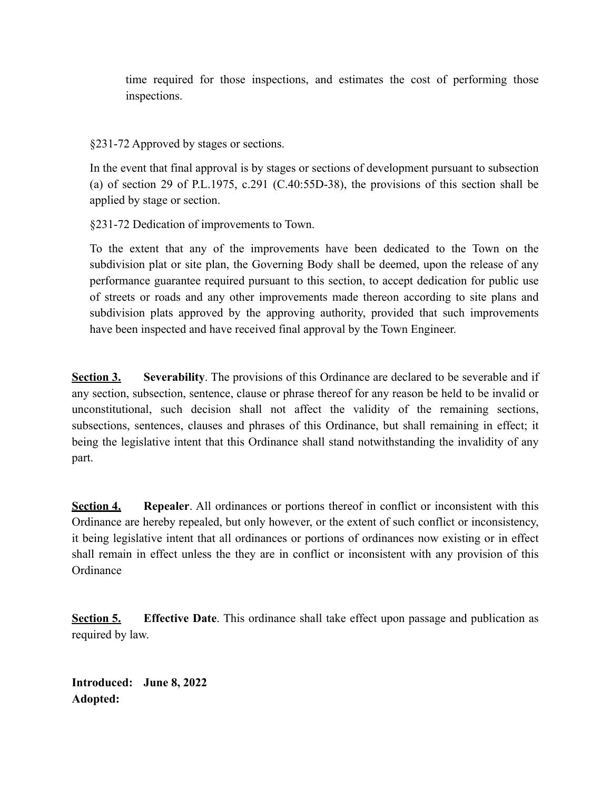time required for those inspections, and estimates the cost of performing those inspections.

§231-72 Approved by stages or sections.

In the event that final approval is by stages or sections of development pursuant to subsection (a) of section 29 of P.L.1975, c.291 (C.40:55D-38), the provisions of this section shall be applied by stage or section.

§231-72 Dedication of improvements to Town.

To the extent that any of the improvements have been dedicated to the Town on the subdivision plat or site plan, the Governing Body shall be deemed, upon the release of any performance guarantee required pursuant to this section, to accept dedication for public use of streets or roads and any other improvements made thereon according to site plans and subdivision plats approved by the approving authority, provided that such improvements have been inspected and have received final approval by the Town Engineer.

**Section 3.** Severability. The provisions of this Ordinance are declared to be severable and if any section, subsection, sentence, clause or phrase thereof for any reason be held to be invalid or unconstitutional, such decision shall not affect the validity of the remaining sections, subsections, sentences, clauses and phrases of this Ordinance, but shall remaining in effect; it being the legislative intent that this Ordinance shall stand notwithstanding the invalidity of any part.

**Section 4. Repealer**. All ordinances or portions thereof in conflict or inconsistent with this Ordinance are hereby repealed, but only however, or the extent of such conflict or inconsistency, it being legislative intent that all ordinances or portions of ordinances now existing or in effect shall remain in effect unless the they are in conflict or inconsistent with any provision of this **Ordinance** 

**Section 5. Effective Date**. This ordinance shall take effect upon passage and publication as required by law.

**Introduced: June 8, 2022 Adopted:**